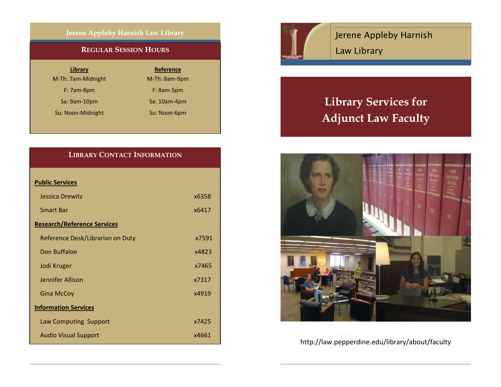### **Jerene Appleby Harnish Law Library**

### **REGULAR SESSION HOURS**

| Library |  |
|---------|--|
|         |  |

M-Th: 7am-Midnight

F: 7am-8pm

Sa: 9am-10pm

Su: Noon-Midnight Su: Noon-6pm

**Reference** M-Th: 8am-9pm F: 8am-5pm 9am‐10pm Sa: 10am‐4pm

## **LIBRARY CONTACT INFORMATION**

| <b>Public Services</b>             |       |
|------------------------------------|-------|
| Jessica Drewitz                    | x6358 |
| <b>Smart Bar</b>                   | x6417 |
| <b>Research/Reference Services</b> |       |
| Reference Desk/Librarian on Duty   | x7591 |
| Don Buffaloe                       | x4823 |
| Jodi Kruger                        | x7465 |
| Jennifer Allison                   | x7317 |
| <b>Gina McCoy</b>                  | x4919 |
| <b>Information Services</b>        |       |
| Law Computing Support              | x7425 |
| <b>Audio Visual Support</b>        | x4661 |



Jerene Appleby Harnish Law Library

# **Library Services for Adjunct Law Faculty**



http://law.pepperdine.edu/library/about/faculty